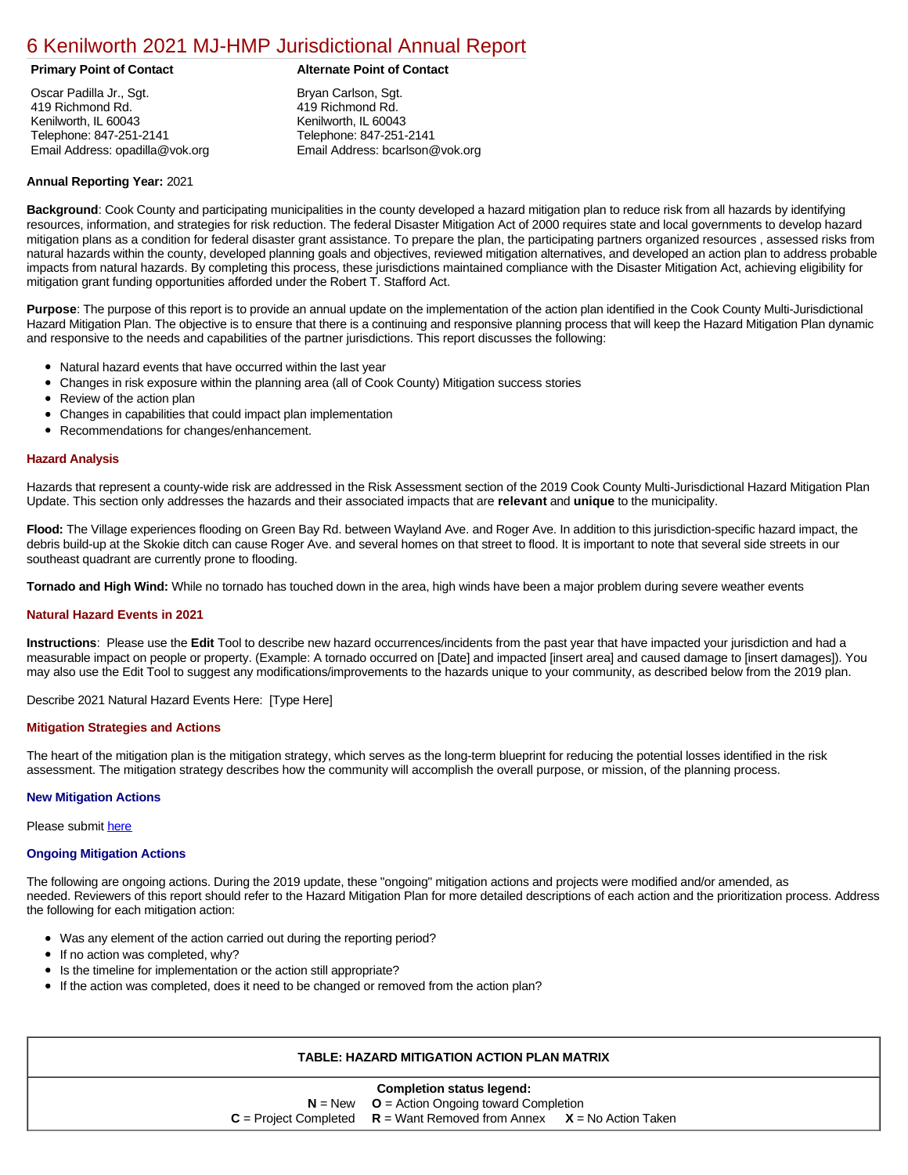# [6 Kenilworth 2021 MJ-HMP Jurisdictional Annual Report](https://kenilworth.isc-cemp.com/Cemp/Details?id=8322792)

Oscar Padilla Jr., Sgt. 419 Richmond Rd. Kenilworth, IL 60043 Telephone: 847-251-2141 Email Address: opadilla@vok.org

# **Primary Point of Contact Alternate Point of Contact**

Bryan Carlson, Sgt. 419 Richmond Rd. Kenilworth, IL 60043 Telephone: 847-251-2141 Email Address: bcarlson@vok.org

# **Annual Reporting Year:** 2021

**Background**: Cook County and participating municipalities in the county developed a hazard mitigation plan to reduce risk from all hazards by identifying resources, information, and strategies for risk reduction. The federal Disaster Mitigation Act of 2000 requires state and local governments to develop hazard mitigation plans as a condition for federal disaster grant assistance. To prepare the plan, the participating partners organized resources , assessed risks from natural hazards within the county, developed planning goals and objectives, reviewed mitigation alternatives, and developed an action plan to address probable impacts from natural hazards. By completing this process, these jurisdictions maintained compliance with the Disaster Mitigation Act, achieving eligibility for mitigation grant funding opportunities afforded under the Robert T. Stafford Act.

**Purpose**: The purpose of this report is to provide an annual update on the implementation of the action plan identified in the Cook County Multi-Jurisdictional Hazard Mitigation Plan. The objective is to ensure that there is a continuing and responsive planning process that will keep the Hazard Mitigation Plan dynamic and responsive to the needs and capabilities of the partner jurisdictions. This report discusses the following:

- Natural hazard events that have occurred within the last year
- Changes in risk exposure within the planning area (all of Cook County) Mitigation success stories  $\bullet$
- Review of the action plan  $\bullet$
- $\bullet$ Changes in capabilities that could impact plan implementation
- Recommendations for changes/enhancement.  $\bullet$

## **Hazard Analysis**

Hazards that represent a county-wide risk are addressed in the Risk Assessment section of the 2019 Cook County Multi-Jurisdictional Hazard Mitigation Plan Update. This section only addresses the hazards and their associated impacts that are **relevant** and **unique** to the municipality.

**Flood:** The Village experiences flooding on Green Bay Rd. between Wayland Ave. and Roger Ave. In addition to this jurisdiction-specific hazard impact, the debris build-up at the Skokie ditch can cause Roger Ave. and several homes on that street to flood. It is important to note that several side streets in our southeast quadrant are currently prone to flooding.

**Tornado and High Wind:** While no tornado has touched down in the area, high winds have been a major problem during severe weather events

#### **Natural Hazard Events in 2021**

**Instructions**: Please use the **Edit** Tool to describe new hazard occurrences/incidents from the past year that have impacted your jurisdiction and had a measurable impact on people or property. (Example: A tornado occurred on [Date] and impacted [insert area] and caused damage to [insert damages]). You may also use the Edit Tool to suggest any modifications/improvements to the hazards unique to your community, as described below from the 2019 plan.

Describe 2021 Natural Hazard Events Here: [Type Here]

#### **Mitigation Strategies and Actions**

The heart of the mitigation plan is the mitigation strategy, which serves as the long-term blueprint for reducing the potential losses identified in the risk assessment. The mitigation strategy describes how the community will accomplish the overall purpose, or mission, of the planning process.

#### **New Mitigation Actions**

Please submit [here](https://integratedsolutions.wufoo.com/forms/mg21jvf0jn639o/)

## **Ongoing Mitigation Actions**

The following are ongoing actions. During the 2019 update, these "ongoing" mitigation actions and projects were modified and/or amended, as needed. Reviewers of this report should refer to the Hazard Mitigation Plan for more detailed descriptions of each action and the prioritization process. Address the following for each mitigation action:

- $\bullet$ Was any element of the action carried out during the reporting period?
- If no action was completed, why?  $\bullet$
- Is the timeline for implementation or the action still appropriate?
- If the action was completed, does it need to be changed or removed from the action plan?

| TABLE: HAZARD MITIGATION ACTION PLAN MATRIX                                 |  |  |  |  |  |  |  |  |
|-----------------------------------------------------------------------------|--|--|--|--|--|--|--|--|
| <b>Completion status legend:</b>                                            |  |  |  |  |  |  |  |  |
| $N = New$ $Q =$ Action Ongoing toward Completion                            |  |  |  |  |  |  |  |  |
| $C =$ Project Completed $R =$ Want Removed from Annex $X =$ No Action Taken |  |  |  |  |  |  |  |  |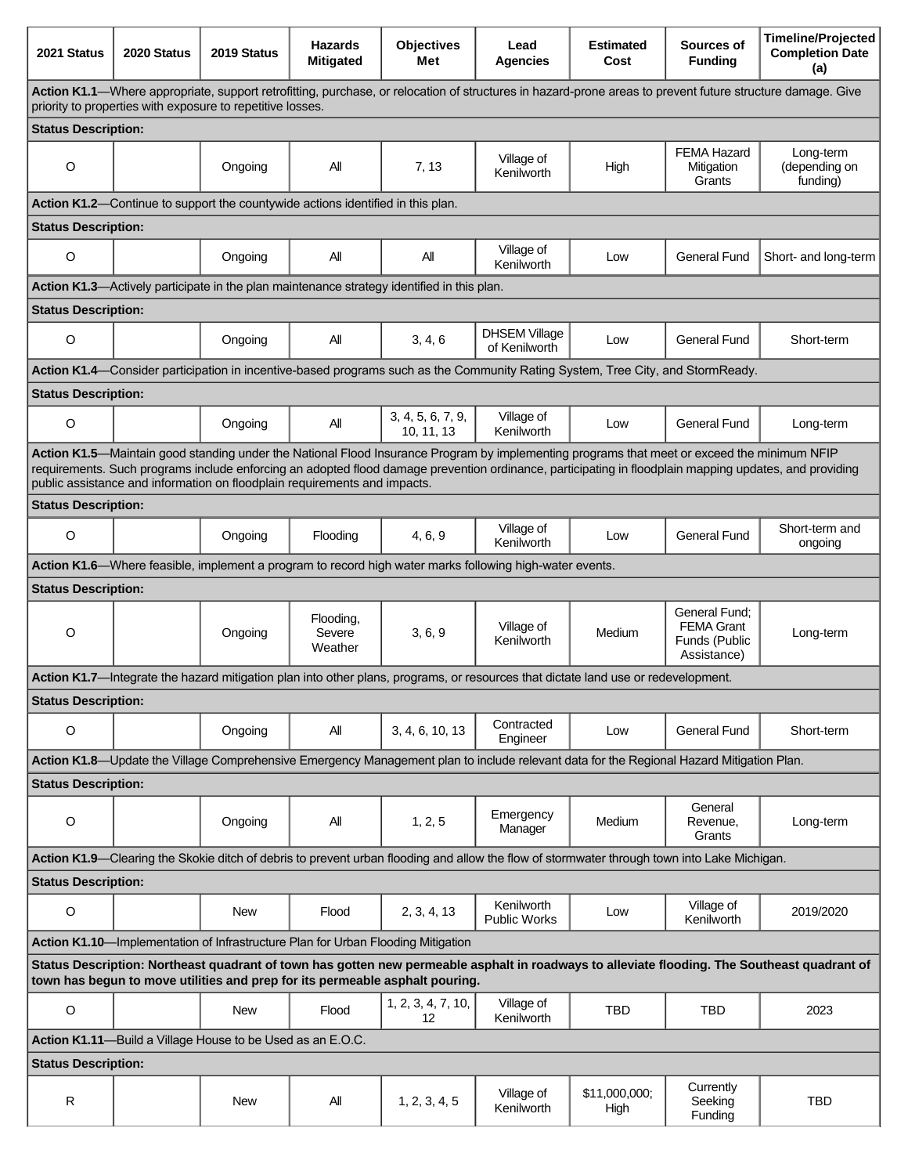| 2021 Status                                                                                                                                                                                                                                                                                                                                                                        | 2020 Status | 2019 Status                                                | <b>Hazards</b><br><b>Mitigated</b> | <b>Objectives</b><br>Met                                                         | Lead<br><b>Agencies</b>                                                                                                                     | <b>Estimated</b><br>Cost | Sources of<br><b>Funding</b>                                       | <b>Timeline/Projected</b><br><b>Completion Date</b><br>(a)                                                                                   |  |  |
|------------------------------------------------------------------------------------------------------------------------------------------------------------------------------------------------------------------------------------------------------------------------------------------------------------------------------------------------------------------------------------|-------------|------------------------------------------------------------|------------------------------------|----------------------------------------------------------------------------------|---------------------------------------------------------------------------------------------------------------------------------------------|--------------------------|--------------------------------------------------------------------|----------------------------------------------------------------------------------------------------------------------------------------------|--|--|
| Action K1.1—Where appropriate, support retrofitting, purchase, or relocation of structures in hazard-prone areas to prevent future structure damage. Give<br>priority to properties with exposure to repetitive losses.                                                                                                                                                            |             |                                                            |                                    |                                                                                  |                                                                                                                                             |                          |                                                                    |                                                                                                                                              |  |  |
| <b>Status Description:</b>                                                                                                                                                                                                                                                                                                                                                         |             |                                                            |                                    |                                                                                  |                                                                                                                                             |                          |                                                                    |                                                                                                                                              |  |  |
| $\circ$                                                                                                                                                                                                                                                                                                                                                                            |             | Ongoing                                                    | ΑIΙ                                | 7, 13                                                                            | Village of<br>Kenilworth                                                                                                                    | High                     | <b>FEMA Hazard</b><br>Mitigation<br>Grants                         | Long-term<br>(depending on<br>funding)                                                                                                       |  |  |
| Action K1.2-Continue to support the countywide actions identified in this plan.                                                                                                                                                                                                                                                                                                    |             |                                                            |                                    |                                                                                  |                                                                                                                                             |                          |                                                                    |                                                                                                                                              |  |  |
| <b>Status Description:</b>                                                                                                                                                                                                                                                                                                                                                         |             |                                                            |                                    |                                                                                  |                                                                                                                                             |                          |                                                                    |                                                                                                                                              |  |  |
| O                                                                                                                                                                                                                                                                                                                                                                                  |             | Ongoing                                                    | All                                | Αll                                                                              | Village of<br>Kenilworth                                                                                                                    | Low                      | <b>General Fund</b>                                                | Short- and long-term                                                                                                                         |  |  |
| Action K1.3—Actively participate in the plan maintenance strategy identified in this plan.                                                                                                                                                                                                                                                                                         |             |                                                            |                                    |                                                                                  |                                                                                                                                             |                          |                                                                    |                                                                                                                                              |  |  |
| <b>Status Description:</b>                                                                                                                                                                                                                                                                                                                                                         |             |                                                            |                                    |                                                                                  |                                                                                                                                             |                          |                                                                    |                                                                                                                                              |  |  |
| $\circ$                                                                                                                                                                                                                                                                                                                                                                            |             | Ongoing                                                    | All                                | 3, 4, 6                                                                          | <b>DHSEM Village</b><br>of Kenilworth                                                                                                       | Low                      | <b>General Fund</b>                                                | Short-term                                                                                                                                   |  |  |
| Action K1.4—Consider participation in incentive-based programs such as the Community Rating System, Tree City, and StormReady.                                                                                                                                                                                                                                                     |             |                                                            |                                    |                                                                                  |                                                                                                                                             |                          |                                                                    |                                                                                                                                              |  |  |
| <b>Status Description:</b>                                                                                                                                                                                                                                                                                                                                                         |             |                                                            |                                    |                                                                                  |                                                                                                                                             |                          |                                                                    |                                                                                                                                              |  |  |
| $\circ$                                                                                                                                                                                                                                                                                                                                                                            |             | Ongoing                                                    | All                                | 3, 4, 5, 6, 7, 9,<br>10, 11, 13                                                  | Village of<br>Kenilworth                                                                                                                    | Low                      | <b>General Fund</b>                                                | Long-term                                                                                                                                    |  |  |
| Action K1.5-Maintain good standing under the National Flood Insurance Program by implementing programs that meet or exceed the minimum NFIP<br>requirements. Such programs include enforcing an adopted flood damage prevention ordinance, participating in floodplain mapping updates, and providing<br>public assistance and information on floodplain requirements and impacts. |             |                                                            |                                    |                                                                                  |                                                                                                                                             |                          |                                                                    |                                                                                                                                              |  |  |
| <b>Status Description:</b>                                                                                                                                                                                                                                                                                                                                                         |             |                                                            |                                    |                                                                                  |                                                                                                                                             |                          |                                                                    |                                                                                                                                              |  |  |
| O                                                                                                                                                                                                                                                                                                                                                                                  |             | Ongoing                                                    | Flooding                           | 4, 6, 9                                                                          | Village of<br>Kenilworth                                                                                                                    | Low                      | <b>General Fund</b>                                                | Short-term and<br>ongoing                                                                                                                    |  |  |
| Action K1.6—Where feasible, implement a program to record high water marks following high-water events.                                                                                                                                                                                                                                                                            |             |                                                            |                                    |                                                                                  |                                                                                                                                             |                          |                                                                    |                                                                                                                                              |  |  |
| <b>Status Description:</b>                                                                                                                                                                                                                                                                                                                                                         |             |                                                            |                                    |                                                                                  |                                                                                                                                             |                          |                                                                    |                                                                                                                                              |  |  |
| O                                                                                                                                                                                                                                                                                                                                                                                  |             | Ongoing                                                    | Flooding,<br>Severe<br>Weather     | 3, 6, 9                                                                          | Village of<br>Kenilworth                                                                                                                    | Medium                   | General Fund:<br><b>FEMA Grant</b><br>Funds (Public<br>Assistance) | Long-term                                                                                                                                    |  |  |
|                                                                                                                                                                                                                                                                                                                                                                                    |             |                                                            |                                    |                                                                                  | Action K1.7—Integrate the hazard mitigation plan into other plans, programs, or resources that dictate land use or redevelopment.           |                          |                                                                    |                                                                                                                                              |  |  |
| <b>Status Description:</b>                                                                                                                                                                                                                                                                                                                                                         |             |                                                            |                                    |                                                                                  |                                                                                                                                             |                          |                                                                    |                                                                                                                                              |  |  |
| O                                                                                                                                                                                                                                                                                                                                                                                  |             | Ongoing                                                    | All                                | 3, 4, 6, 10, 13                                                                  | Contracted<br>Engineer                                                                                                                      | Low                      | <b>General Fund</b>                                                | Short-term                                                                                                                                   |  |  |
|                                                                                                                                                                                                                                                                                                                                                                                    |             |                                                            |                                    |                                                                                  | Action K1.8-Update the Village Comprehensive Emergency Management plan to include relevant data for the Regional Hazard Mitigation Plan.    |                          |                                                                    |                                                                                                                                              |  |  |
| <b>Status Description:</b>                                                                                                                                                                                                                                                                                                                                                         |             |                                                            |                                    |                                                                                  |                                                                                                                                             |                          |                                                                    |                                                                                                                                              |  |  |
| O                                                                                                                                                                                                                                                                                                                                                                                  |             | Ongoing                                                    | All                                | 1, 2, 5                                                                          | Emergency<br>Manager                                                                                                                        | Medium                   | General<br>Revenue.<br>Grants                                      | Long-term                                                                                                                                    |  |  |
|                                                                                                                                                                                                                                                                                                                                                                                    |             |                                                            |                                    |                                                                                  | Action K1.9—Clearing the Skokie ditch of debris to prevent urban flooding and allow the flow of stormwater through town into Lake Michigan. |                          |                                                                    |                                                                                                                                              |  |  |
| <b>Status Description:</b>                                                                                                                                                                                                                                                                                                                                                         |             |                                                            |                                    |                                                                                  |                                                                                                                                             |                          |                                                                    |                                                                                                                                              |  |  |
| $\circ$                                                                                                                                                                                                                                                                                                                                                                            |             | <b>New</b>                                                 | Flood                              | 2, 3, 4, 13                                                                      | Kenilworth<br><b>Public Works</b>                                                                                                           | Low                      | Village of<br>Kenilworth                                           | 2019/2020                                                                                                                                    |  |  |
|                                                                                                                                                                                                                                                                                                                                                                                    |             |                                                            |                                    | Action K1.10-Implementation of Infrastructure Plan for Urban Flooding Mitigation |                                                                                                                                             |                          |                                                                    |                                                                                                                                              |  |  |
|                                                                                                                                                                                                                                                                                                                                                                                    |             |                                                            |                                    | town has begun to move utilities and prep for its permeable asphalt pouring.     |                                                                                                                                             |                          |                                                                    | Status Description: Northeast quadrant of town has gotten new permeable asphalt in roadways to alleviate flooding. The Southeast quadrant of |  |  |
| $\mathsf O$                                                                                                                                                                                                                                                                                                                                                                        |             | New                                                        | Flood                              | 1, 2, 3, 4, 7, 10,<br>$12 \overline{ }$                                          | Village of<br>Kenilworth                                                                                                                    | <b>TBD</b>               | TBD                                                                | 2023                                                                                                                                         |  |  |
|                                                                                                                                                                                                                                                                                                                                                                                    |             | Action K1.11-Build a Village House to be Used as an E.O.C. |                                    |                                                                                  |                                                                                                                                             |                          |                                                                    |                                                                                                                                              |  |  |
| <b>Status Description:</b>                                                                                                                                                                                                                                                                                                                                                         |             |                                                            |                                    |                                                                                  |                                                                                                                                             |                          |                                                                    |                                                                                                                                              |  |  |
| R                                                                                                                                                                                                                                                                                                                                                                                  |             | <b>New</b>                                                 | ΑIΙ                                | 1, 2, 3, 4, 5                                                                    | Village of<br>Kenilworth                                                                                                                    | \$11,000,000;<br>High    | Currently<br>Seeking<br>Funding                                    | <b>TBD</b>                                                                                                                                   |  |  |